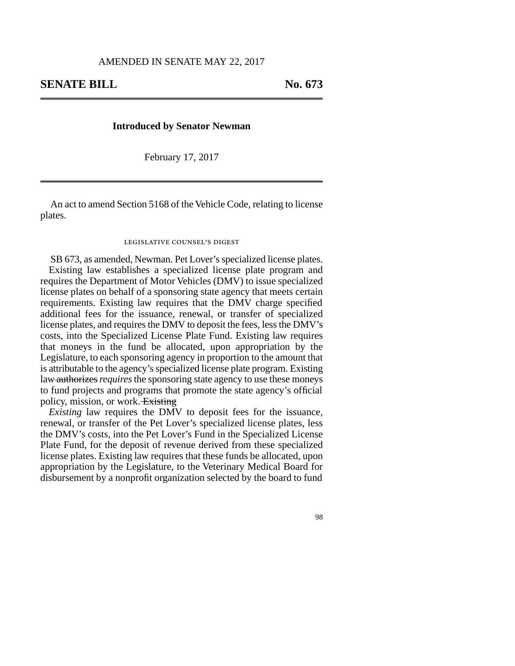## **Introduced by Senator Newman**

February 17, 2017

An act to amend Section 5168 of the Vehicle Code, relating to license plates.

## legislative counsel's digest

SB 673, as amended, Newman. Pet Lover's specialized license plates. Existing law establishes a specialized license plate program and requires the Department of Motor Vehicles (DMV) to issue specialized license plates on behalf of a sponsoring state agency that meets certain requirements. Existing law requires that the DMV charge specified additional fees for the issuance, renewal, or transfer of specialized license plates, and requires the DMV to deposit the fees, less the DMV's costs, into the Specialized License Plate Fund. Existing law requires that moneys in the fund be allocated, upon appropriation by the Legislature, to each sponsoring agency in proportion to the amount that is attributable to the agency's specialized license plate program. Existing law authorizes *requires* the sponsoring state agency to use these moneys to fund projects and programs that promote the state agency's official policy, mission, or work. Existing

*Existing* law requires the DMV to deposit fees for the issuance, renewal, or transfer of the Pet Lover's specialized license plates, less the DMV's costs, into the Pet Lover's Fund in the Specialized License Plate Fund, for the deposit of revenue derived from these specialized license plates. Existing law requires that these funds be allocated, upon appropriation by the Legislature, to the Veterinary Medical Board for disbursement by a nonprofit organization selected by the board to fund

98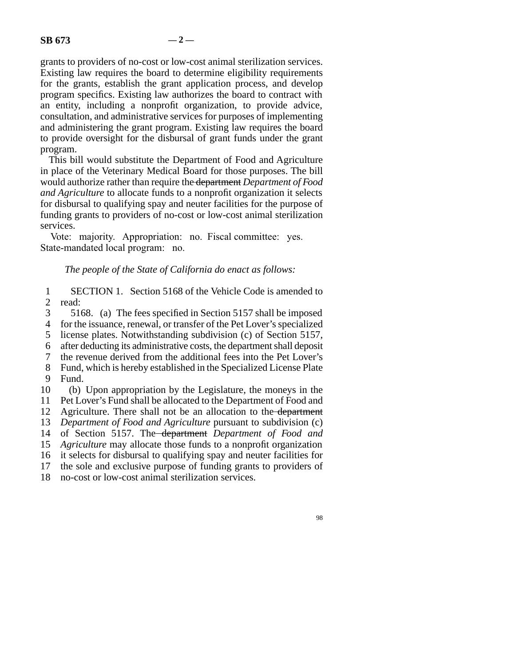grants to providers of no-cost or low-cost animal sterilization services. Existing law requires the board to determine eligibility requirements for the grants, establish the grant application process, and develop program specifics. Existing law authorizes the board to contract with an entity, including a nonprofit organization, to provide advice, consultation, and administrative services for purposes of implementing and administering the grant program. Existing law requires the board to provide oversight for the disbursal of grant funds under the grant program.

This bill would substitute the Department of Food and Agriculture in place of the Veterinary Medical Board for those purposes. The bill would authorize rather than require the department *Department of Food and Agriculture* to allocate funds to a nonprofit organization it selects for disbursal to qualifying spay and neuter facilities for the purpose of funding grants to providers of no-cost or low-cost animal sterilization services.

Vote: majority. Appropriation: no. Fiscal committee: yes. State-mandated local program: no.

## *The people of the State of California do enact as follows:*

1 SECTION 1. Section 5168 of the Vehicle Code is amended to read: read:

- 3 5168. (a) The fees specified in Section 5157 shall be imposed
- 4 for the issuance, renewal, or transfer of the Pet Lover's specialized
- 5 license plates. Notwithstanding subdivision (c) of Section 5157,
- line 6 after deducting its administrative costs, the department shall deposit
- 7 the revenue derived from the additional fees into the Pet Lover's
- 8 Fund, which is hereby established in the Specialized License Plate 9 Fund.
- 10 (b) Upon appropriation by the Legislature, the moneys in the 11 Pet Lover's Fund shall be allocated to the Department of Food and
- 12 Agriculture. There shall not be an allocation to the department
- 13 *Department of Food and Agriculture* pursuant to subdivision (c)
- 14 of Section 5157. The <del>department</del> Department of Food and
- 15 *Agriculture* may allocate those funds to a nonprofit organization
- 16 it selects for disbursal to qualifying spay and neuter facilities for
- 17 the sole and exclusive purpose of funding grants to providers of
- 18 no-cost or low-cost animal sterilization services.